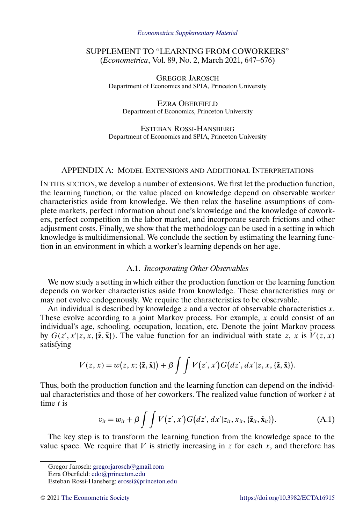#### *[Econometrica Supplementary Material](https://www.econometricsociety.org/suppmatlist.asp)*

# <span id="page-0-0"></span>SUPPLEMENT TO "LEARNING FROM COWORKERS" (*Econometrica*, Vol. 89, No. 2, March 2021, 647–676)

GREGOR JAROSCH Department of Economics and SPIA, Princeton University

EZRA OBERFIELD Department of Economics, Princeton University

ESTEBAN ROSSI-HANSBERG Department of Economics and SPIA, Princeton University

# APPENDIX A: MODEL EXTENSIONS AND ADDITIONAL INTERPRETATIONS

IN THIS SECTION, we develop a number of extensions. We first let the production function, the learning function, or the value placed on knowledge depend on observable worker characteristics aside from knowledge. We then relax the baseline assumptions of complete markets, perfect information about one's knowledge and the knowledge of coworkers, perfect competition in the labor market, and incorporate search frictions and other adjustment costs. Finally, we show that the methodology can be used in a setting in which knowledge is multidimensional. We conclude the section by estimating the learning function in an environment in which a worker's learning depends on her age.

## A.1. *Incorporating Other Observables*

We now study a setting in which either the production function or the learning function depends on worker characteristics aside from knowledge. These characteristics may or may not evolve endogenously. We require the characteristics to be observable.

An individual is described by knowledge  $z$  and a vector of observable characteristics  $x$ . These evolve according to a joint Markov process. For example,  $x$  could consist of an individual's age, schooling, occupation, location, etc. Denote the joint Markov process by  $G(z', x'|z, x, \{\tilde{z}, \tilde{x}\})$ . The value function for an individual with state z, x is  $V(z, x)$ satisfying

$$
V(z, x) = w(z, x; \{\tilde{\mathbf{z}}, \tilde{\mathbf{x}}\}) + \beta \int \int V(z', x') G(dz', dx'|z, x, \{\tilde{\mathbf{z}}, \tilde{\mathbf{x}}\}).
$$

Thus, both the production function and the learning function can depend on the individual characteristics and those of her coworkers. The realized value function of worker  $i$  at time  $t$  is

$$
v_{ii} = w_{ii} + \beta \int \int V(z', x') G(dz', dx' | z_{it}, x_{it}, {\tilde{z}}_{it}, {\tilde{x}}_{it}). \tag{A.1}
$$

The key step is to transform the learning function from the knowledge space to the value space. We require that  $V$  is strictly increasing in  $z$  for each  $x$ , and therefore has

Ezra Oberfield: [edo@princeton.edu](mailto:edo@princeton.edu)

Gregor Jarosch: [gregorjarosch@gmail.com](mailto:gregorjarosch@gmail.com)

Esteban Rossi-Hansberg: [erossi@princeton.edu](mailto:erossi@princeton.edu)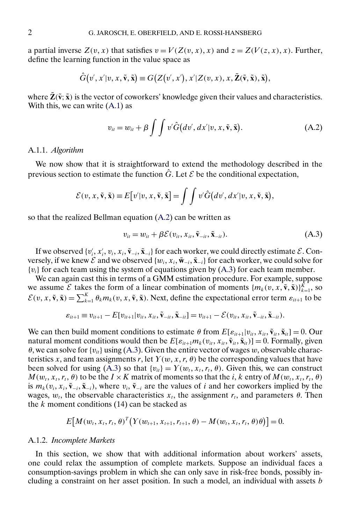<span id="page-1-0"></span>a partial inverse  $Z(v, x)$  that satisfies  $v = V(Z(v, x), x)$  and  $z = Z(V(z, x), x)$ . Further, define the learning function in the value space as

$$
\hat{G}(v',x'|v,x,\tilde{\mathbf{v}},\tilde{\mathbf{x}}) \equiv G\big(Z\big(v',x'\big),x'|Z(v,x),x,\tilde{Z}(\tilde{\mathbf{v}},\tilde{\mathbf{x}}),\tilde{\mathbf{x}}\big),
$$

where  $\tilde{Z}(\tilde{v}; \tilde{x})$  is the vector of coworkers' knowledge given their values and characteristics. With this, we can write  $(A.1)$  as

$$
v_{it} = w_{it} + \beta \int \int v' \hat{G}(dv', dx'|v, x, \tilde{\mathbf{v}}, \tilde{\mathbf{x}}).
$$
 (A.2)

#### A.1.1. *Algorithm*

We now show that it is straightforward to extend the methodology described in the previous section to estimate the function  $\hat{G}$ . Let  $\mathcal E$  be the conditional expectation,

$$
\mathcal{E}(v, x, \tilde{\mathbf{v}}, \tilde{\mathbf{x}}) \equiv E[v'|v, x, \tilde{\mathbf{v}}, \tilde{\mathbf{x}}] = \int \int v' \hat{G}(dv', dx'|v, x, \tilde{\mathbf{v}}, \tilde{\mathbf{x}}),
$$

so that the realized Bellman equation (A.2) can be written as

$$
v_{it} = w_{it} + \beta \mathcal{E}(v_{it}, x_{it}, \tilde{\mathbf{v}}_{-it}, \tilde{\mathbf{x}}_{-it}).
$$
\n(A.3)

If we observed  $\{v_i', x_i', v_i, x_i, \tilde{v}_{-i}, \tilde{x}_{-i}\}$  for each worker, we could directly estimate  $\mathcal{E}$ . Conversely, if we knew  $\mathcal E$  and we observed  $\{w_i, x_i, \tilde{\mathbf{w}}_{-i}, \tilde{\mathbf{x}}_{-i}\}$  for each worker, we could solve for  ${v_i}$  for each team using the system of equations given by (A.3) for each team member.

We can again cast this in terms of a GMM estimation procedure. For example, suppose we assume  $\mathcal{E}$  takes the form of a linear combination of moments  $\{m_k(v, x, \tilde{\mathbf{v}}, \tilde{\mathbf{x}})\}_{k=1}^K$ , so  $\mathcal{E}(v, x, \tilde{\mathbf{v}}, \tilde{\mathbf{x}}) = \sum_{k=1}^{K} \theta_k m_k(v, x, \tilde{\mathbf{v}}, \tilde{\mathbf{x}})$ . Next, define the expectational error term  $\varepsilon_{it+1}$  to be

$$
\varepsilon_{it+1} \equiv v_{it+1} - E[v_{it+1}|v_{it}, x_{it}, \tilde{\mathbf{v}}_{-it}, \tilde{\mathbf{x}}_{-it}] = v_{it+1} - \mathcal{E}(v_{it}, x_{it}, \tilde{\mathbf{v}}_{-it}, \tilde{\mathbf{x}}_{-it}).
$$

We can then build moment conditions to estimate  $\theta$  from  $E[\varepsilon_{it+1}|v_{it}, x_{it}, \tilde{\mathbf{v}}_{it}, \tilde{\mathbf{x}}_{it}] = 0$ . Our natural moment conditions would then be  $E[\varepsilon_{it+1}m_k(v_{it}, x_{it}, \tilde{\mathbf{v}}_{it}, \tilde{\mathbf{x}}_{it})] = 0$ . Formally, given  $\theta$ , we can solve for  $\{v_{it}\}$  using (A.3). Given the entire vector of wages w, observable characteristics x, and team assignments r, let  $Y(w, x, r, \theta)$  be the corresponding values that have been solved for using (A.3) so that  $\{v_{it}\} = Y(w_t, x_t, r_t, \theta)$ . Given this, we can construct  $M(w_t, x_t, r_t, \theta)$  to be the  $I \times K$  matrix of moments so that the i, k entry of  $M(w_t, x_t, r_t, \theta)$ is  $m_k(v_i, x_i, \tilde{v}_{-i}, \tilde{x}_{-i})$ , where  $v_i, \tilde{v}_{-i}$  are the values of i and her coworkers implied by the wages,  $w_t$ , the observable characteristics  $x_t$ , the assignment  $r_t$ , and parameters  $\theta$ . Then the  $k$  moment conditions (14) can be stacked as

$$
E[M(w_t, x_t, r_t, \theta)^T(Y(w_{t+1}, x_{t+1}, r_{t+1}, \theta) - M(w_t, x_t, r_t, \theta)\theta)]=0.
$$

#### A.1.2. *Incomplete Markets*

In this section, we show that with additional information about workers' assets, one could relax the assumption of complete markets. Suppose an individual faces a consumption-savings problem in which she can only save in risk-free bonds, possibly including a constraint on her asset position. In such a model, an individual with assets b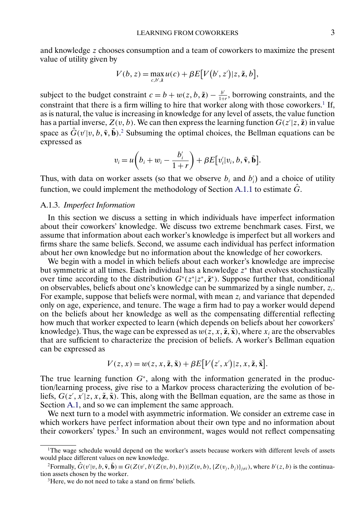and knowledge z chooses consumption and a team of coworkers to maximize the present value of utility given by

$$
V(b, z) = \max_{c, b', \tilde{z}} u(c) + \beta E[V(b', z')|z, \tilde{z}, b],
$$

subject to the budget constraint  $c = b + w(z, b, \tilde{z}) - \frac{b'}{1+r}$ , borrowing constraints, and the constraint that there is a firm willing to hire that worker along with those coworkers.<sup>1</sup> If, as is natural, the value is increasing in knowledge for any level of assets, the value function has a partial inverse,  $Z(v, b)$ . We can then express the learning function  $G(z'|z, \tilde{z})$  in value space as  $\hat{G}(v'|v, b, \tilde{v}, \tilde{b})$ .<sup>2</sup> Subsuming the optimal choices, the Bellman equations can be expressed as

$$
v_i = u\bigg(b_i + w_i - \frac{b'_i}{1+r}\bigg) + \beta E\big[v'_i|v_i, b, \tilde{\mathbf{v}}, \tilde{\mathbf{b}}\big].
$$

Thus, with data on worker assets (so that we observe  $b_i$  and  $b'_i$ ) and a choice of utility function, we could implement the methodology of Section [A.1.1](#page-1-0) to estimate  $\hat{G}$ .

## A.1.3. *Imperfect Information*

In this section we discuss a setting in which individuals have imperfect information about their coworkers' knowledge. We discuss two extreme benchmark cases. First, we assume that information about each worker's knowledge is imperfect but all workers and firms share the same beliefs. Second, we assume each individual has perfect information about her own knowledge but no information about the knowledge of her coworkers.

We begin with a model in which beliefs about each worker's knowledge are imprecise but symmetric at all times. Each individual has a knowledge z<sup>∗</sup> that evolves stochastically over time according to the distribution  $G^*(z^*|z^*, \tilde{z}^*)$ . Suppose further that, conditional on observables, beliefs about one's knowledge can be summarized by a single number,  $z_i$ . For example, suppose that beliefs were normal, with mean  $z_i$  and variance that depended only on age, experience, and tenure. The wage a firm had to pay a worker would depend on the beliefs about her knowledge as well as the compensating differential reflecting how much that worker expected to learn (which depends on beliefs about her coworkers' knowledge). Thus, the wage can be expressed as  $w(z, x, \tilde{z}, \tilde{x})$ , where  $x_i$  are the observables that are sufficient to characterize the precision of beliefs. A worker's Bellman equation can be expressed as

$$
V(z, x) = w(z, x, \tilde{z}, \tilde{x}) + \beta E[V(z', x')|z, x, \tilde{z}, \tilde{x}].
$$

The true learning function  $G<sup>*</sup>$ , along with the information generated in the production/learning process, give rise to a Markov process characterizing the evolution of beliefs,  $G(z', x'|z, x, \tilde{\mathbf{z}}, \tilde{\mathbf{x}})$ . This, along with the Bellman equation, are the same as those in Section [A.1,](#page-0-0) and so we can implement the same approach.

We next turn to a model with asymmetric information. We consider an extreme case in which workers have perfect information about their own type and no information about their coworkers' types.<sup>3</sup> In such an environment, wages would not reflect compensating

<sup>&</sup>lt;sup>1</sup>The wage schedule would depend on the worker's assets because workers with different levels of assets would place different values on new knowledge.

<sup>&</sup>lt;sup>2</sup> Formally,  $\hat{G}(v'|v, b, \tilde{\mathbf{v}}, \tilde{\mathbf{b}}) \equiv G(Z(v', b'(Z(v, b), b)) | Z(v, b), \{Z(v_j, b_j)\}_{j \neq i})$ , where  $b'(z, b)$  is the continuation assets chosen by the worker.

<sup>&</sup>lt;sup>3</sup>Here, we do not need to take a stand on firms' beliefs.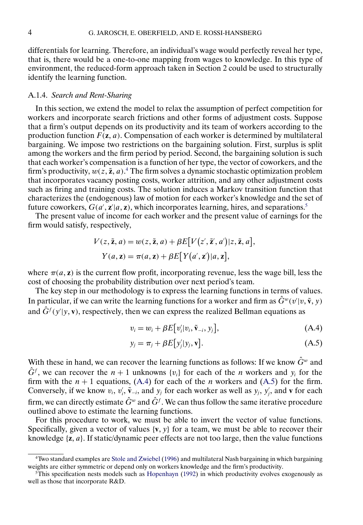<span id="page-3-0"></span>differentials for learning. Therefore, an individual's wage would perfectly reveal her type, that is, there would be a one-to-one mapping from wages to knowledge. In this type of environment, the reduced-form approach taken in Section 2 could be used to structurally identify the learning function.

# A.1.4. *Search and Rent-Sharing*

In this section, we extend the model to relax the assumption of perfect competition for workers and incorporate search frictions and other forms of adjustment costs. Suppose that a firm's output depends on its productivity and its team of workers according to the production function  $F(\mathbf{z}, a)$ . Compensation of each worker is determined by multilateral bargaining. We impose two restrictions on the bargaining solution. First, surplus is split among the workers and the firm period by period. Second, the bargaining solution is such that each worker's compensation is a function of her type, the vector of coworkers, and the firm's productivity,  $w(z, \tilde{z}, a)$ .<sup>4</sup> The firm solves a dynamic stochastic optimization problem that incorporates vacancy posting costs, worker attrition, and any other adjustment costs such as firing and training costs. The solution induces a Markov transition function that characterizes the (endogenous) law of motion for each worker's knowledge and the set of future coworkers,  $G(a', \mathbf{z} | a, \mathbf{z})$ , which incorporates learning, hires, and separations.<sup>5</sup>

The present value of income for each worker and the present value of earnings for the firm would satisfy, respectively,

$$
V(z, \tilde{z}, a) = w(z, \tilde{z}, a) + \beta E[V(z', \tilde{z}', a')]z, \tilde{z}, a],
$$
  

$$
Y(a, z) = \pi(a, z) + \beta E[Y(a', z')|a, z],
$$

where  $\pi(a, z)$  is the current flow profit, incorporating revenue, less the wage bill, less the cost of choosing the probability distribution over next period's team.

The key step in our methodology is to express the learning functions in terms of values. In particular, if we can write the learning functions for a worker and firm as  $\hat{G}^w(v|v, \tilde{v}, y)$ and  $\hat{G}^f(y'|y, v)$ , respectively, then we can express the realized Bellman equations as

$$
v_i = w_i + \beta E[v_i' | v_i, \tilde{v}_{-i}, y_j], \qquad (A.4)
$$

$$
y_j = \pi_j + \beta E[y'_j|y_j, \mathbf{v}]. \tag{A.5}
$$

With these in hand, we can recover the learning functions as follows: If we know  $\hat{G}^w$  and  $\hat{G}^f$ , we can recover the  $n + 1$  unknowns  $\{v_i\}$  for each of the *n* workers and  $y_i$  for the firm with the  $n + 1$  equations, (A.4) for each of the *n* workers and (A.5) for the firm. Conversely, if we know  $v_i$ ,  $v'_i$ ,  $\tilde{\mathbf{v}}_{-i}$ , and  $y_j$  for each worker as well as  $y_j$ ,  $y'_j$ , and **v** for each firm, we can directly estimate  $\hat{G}^w$  and  $\hat{G}^f$ . We can thus follow the same iterative procedure outlined above to estimate the learning functions.

For this procedure to work, we must be able to invert the vector of value functions. Specifically, given a vector of values  $\{v, y\}$  for a team, we must be able to recover their knowledge { $z$ , a}. If static/dynamic peer effects are not too large, then the value functions

<sup>4</sup>Two standard examples are [Stole and Zwiebel](#page-15-0) [\(1996\)](#page-15-0) and multilateral Nash bargaining in which bargaining weights are either symmetric or depend only on workers knowledge and the firm's productivity.

 $5$ This specification nests models such as [Hopenhayn](#page-15-0) [\(1992\)](#page-15-0) in which productivity evolves exogenously as well as those that incorporate R&D.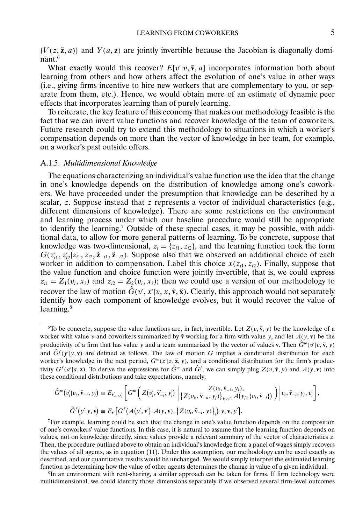${V(z, \tilde{z}, a)}$  and  $Y(a, z)$  are jointly invertible because the Jacobian is diagonally dominant.6

What exactly would this recover?  $E[v|v, \tilde{v}, a]$  incorporates information both about learning from others and how others affect the evolution of one's value in other ways (i.e., giving firms incentive to hire new workers that are complementary to you, or separate from them, etc.). Hence, we would obtain more of an estimate of dynamic peer effects that incorporates learning than of purely learning.

To reiterate, the key feature of this economy that makes our methodology feasible is the fact that we can invert value functions and recover knowledge of the team of coworkers. Future research could try to extend this methodology to situations in which a worker's compensation depends on more than the vector of knowledge in her team, for example, on a worker's past outside offers.

# A.1.5. *Multidimensional Knowledge*

The equations characterizing an individual's value function use the idea that the change in one's knowledge depends on the distribution of knowledge among one's coworkers. We have proceeded under the presumption that knowledge can be described by a scalar, z. Suppose instead that z represents a vector of individual characteristics (e.g., different dimensions of knowledge). There are some restrictions on the environment and learning process under which our baseline procedure would still be appropriate to identify the learning.7 Outside of these special cases, it may be possible, with additional data, to allow for more general patterns of learning. To be concrete, suppose that knowledge was two-dimensional,  $z_i = \{z_{i1}, z_{i2}\}$ , and the learning function took the form  $G(z'_{i1}, z'_{i2}|z_{i1}, z_{i2}, \tilde{\mathbf{z}}_{-i1}, \tilde{\mathbf{z}}_{-i2})$ . Suppose also that we observed an additional choice of each worker in addition to compensation. Label this choice  $x(z_{i1}, z_{i2})$ . Finally, suppose that the value function and choice function were jointly invertible, that is, we could express  $z_{i1} = Z_1(v_i, x_i)$  and  $z_{i2} = Z_2(v_i, x_i)$ ; then we could use a version of our methodology to recover the law of motion  $\hat{G}(v', x'|v, x, \tilde{v}, \tilde{x})$ . Clearly, this approach would not separately identify how each component of knowledge evolves, but it would recover the value of learning.<sup>8</sup>

$$
\hat{G}^w(v_i|v_i,\tilde{\mathbf{v}}_{-i},y_j) \equiv E_{\tilde{\mathbf{v}}_{-i},y_j'}\bigg[G^w\bigg(Z(v_i',\tilde{\mathbf{v}}_{-i}',y_j')\bigg|\begin{matrix}Z(v_i,\tilde{\mathbf{v}}_{-i},y_j),\\Z(v_k,\tilde{\mathbf{v}}_{-k},y_j)\end{matrix}\begin{matrix}Z(v_i,\tilde{\mathbf{v}}_{-i},y_j),\\Z(v_k,\tilde{\mathbf{v}}_{-k},y_j)\end{matrix}\begin{matrix}Z(v_i,\tilde{\mathbf{v}}_{-i},y_j),\\Z(v_i,\tilde{\mathbf{v}}_{-k},y_j)\end{matrix}\bigg]\bigg)\bigg[v_i,\tilde{\mathbf{v}}_{-i},y_j,v_j'\bigg],
$$
\n
$$
\hat{G}^f(y'|y,\mathbf{v}) \equiv E_{\mathbf{v}}\big[G^f(A(y',\mathbf{v}')|A(y,\mathbf{v}),\{Z(v_i,\tilde{\mathbf{v}}_{-i},y)\}\big)](y,\mathbf{v},y')\bigg].
$$

7For example, learning could be such that the change in one's value function depends on the composition of one's coworkers' value functions. In this case, it is natural to assume that the learning function depends on values, not on knowledge directly, since values provide a relevant summary of the vector of characteristics z. Then, the procedure outlined above to obtain an individual's knowledge from a panel of wages simply recovers the values of all agents, as in equation (11). Under this assumption, our methodology can be used exactly as described, and our quantitative results would be unchanged. We would simply interpret the estimated learning function as determining how the value of other agents determines the change in value of a given individual.

<sup>8</sup>In an environment with rent-sharing, a similar approach can be taken for firms. If firm technology were multidimensional, we could identify those dimensions separately if we observed several firm-level outcomes

<sup>&</sup>lt;sup>6</sup>To be concrete, suppose the value functions are, in fact, invertible. Let  $Z(v, \tilde{v}, y)$  be the knowledge of a worker with value v and coworkers summarized by  $\tilde{v}$  working for a firm with value y, and let  $A(y, v)$  be the productivity of a firm that has value y and a team summarized by the vector of values **v**. Then  $\hat{G}^w(v'|v, \tilde{\mathbf{v}}, y)$ and  $\hat{G}^{f}(y'|y, v)$  are defined as follows. The law of motion G implies a conditional distribution for each worker's knowledge in the next period,  $G^w(z|z, \tilde{z}, y)$ , and a conditional distribution for the firm's productivity  $G^f(a'|a, \mathbf{z})$ . To derive the expressions for  $\hat{G}^w$  and  $\hat{G}^f$ , we can simply plug  $Z(v, \tilde{v}, y)$  and  $A(y, v)$  into these conditional distributions and take expectations, namely,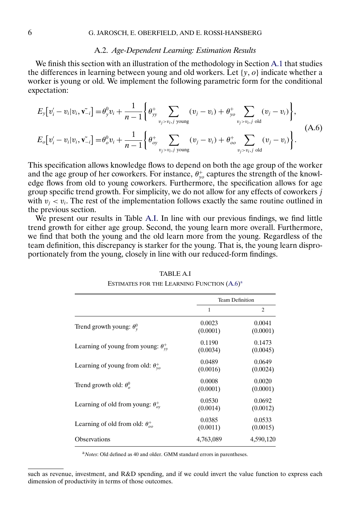#### A.2. *Age-Dependent Learning: Estimation Results*

We finish this section with an illustration of the methodology in Section [A.1](#page-0-0) that studies the differences in learning between young and old workers. Let  $\{y, o\}$  indicate whether a worker is young or old. We implement the following parametric form for the conditional expectation:

$$
E_{y}[v'_{i} - v_{i}|v_{i}, \tilde{v_{-i}}] = \theta_{y}^{0}v_{i} + \frac{1}{n-1} \left\{ \theta_{yy}^{+} \sum_{v_{j} > v_{i}, j \text{ young}} (v_{j} - v_{i}) + \theta_{y_{o}}^{+} \sum_{v_{j} > v_{i}, j \text{ old}} (v_{j} - v_{i}) \right\},
$$
\n
$$
E_{o}[v'_{i} - v_{i}|v_{i}, \tilde{v_{-i}}] = \theta_{o}^{0}v_{i} + \frac{1}{n-1} \left\{ \theta_{oy}^{+} \sum_{v_{j} > v_{i}, j \text{ young}} (v_{j} - v_{i}) + \theta_{oo}^{+} \sum_{v_{j} > v_{i}, j \text{ old}} (v_{j} - v_{i}) \right\}.
$$
\n(A.6)

This specification allows knowledge flows to depend on both the age group of the worker and the age group of her coworkers. For instance,  $\theta_{yo}^{+}$  captures the strength of the knowledge flows from old to young coworkers. Furthermore, the specification allows for age group specific trend growth. For simplicity, we do not allow for any effects of coworkers j with  $v_i < v_i$ . The rest of the implementation follows exactly the same routine outlined in the previous section.

We present our results in Table A.I. In line with our previous findings, we find little trend growth for either age group. Second, the young learn more overall. Furthermore, we find that both the young and the old learn more from the young. Regardless of the team definition, this discrepancy is starker for the young. That is, the young learn disproportionately from the young, closely in line with our reduced-form findings.

|                                               |                    | <b>Team Definition</b> |
|-----------------------------------------------|--------------------|------------------------|
|                                               | 1                  | $\overline{c}$         |
| Trend growth young: $\theta_{y}^{0}$          | 0.0023<br>(0.0001) | 0.0041<br>(0.0001)     |
| Learning of young from young: $\theta_{vv}^+$ | 0.1190<br>(0.0034) | 0.1473<br>(0.0045)     |
| Learning of young from old: $\theta_{vo}^+$   | 0.0489<br>(0.0016) | 0.0649<br>(0.0024)     |
| Trend growth old: $\theta_{a}^{0}$            | 0.0008<br>(0.0001) | 0.0020<br>(0.0001)     |
| Learning of old from young: $\theta_{ov}^+$   | 0.0530<br>(0.0014) | 0.0692<br>(0.0012)     |
| Learning of old from old: $\theta_{oo}^+$     | 0.0385<br>(0.0011) | 0.0533<br>(0.0015)     |
| <b>Observations</b>                           | 4,763,089          | 4,590,120              |

TABLE A.I ESTIMATES FOR THE LEARNING FUNCTION (A.6)<sup>a</sup>

<sup>a</sup>*Notes*: Old defined as 40 and older. GMM standard errors in parentheses.

such as revenue, investment, and R&D spending, and if we could invert the value function to express each dimension of productivity in terms of those outcomes.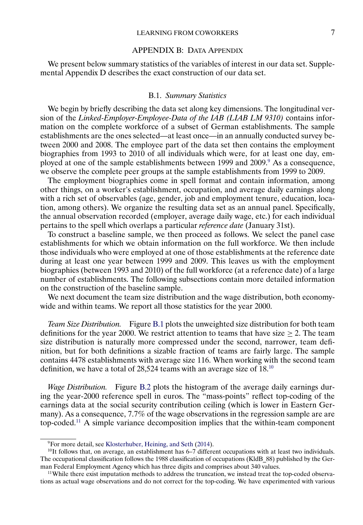### LEARNING FROM COWORKERS 7

### APPENDIX B: DATA APPENDIX

<span id="page-6-0"></span>We present below summary statistics of the variables of interest in our data set. Supplemental Appendix D describes the exact construction of our data set.

#### B.1. *Summary Statistics*

We begin by briefly describing the data set along key dimensions. The longitudinal version of the *Linked-Employer-Employee-Data of the IAB (LIAB LM 9310)* contains information on the complete workforce of a subset of German establishments. The sample establishments are the ones selected—at least once—in an annually conducted survey between 2000 and 2008. The employee part of the data set then contains the employment biographies from 1993 to 2010 of all individuals which were, for at least one day, employed at one of the sample establishments between 1999 and 2009.<sup>9</sup> As a consequence, we observe the complete peer groups at the sample establishments from 1999 to 2009.

The employment biographies come in spell format and contain information, among other things, on a worker's establishment, occupation, and average daily earnings along with a rich set of observables (age, gender, job and employment tenure, education, location, among others). We organize the resulting data set as an annual panel. Specifically, the annual observation recorded (employer, average daily wage, etc.) for each individual pertains to the spell which overlaps a particular *reference date* (January 31st).

To construct a baseline sample, we then proceed as follows. We select the panel case establishments for which we obtain information on the full workforce. We then include those individuals who were employed at one of those establishments at the reference date during at least one year between 1999 and 2009. This leaves us with the employment biographies (between 1993 and 2010) of the full workforce (at a reference date) of a large number of establishments. The following subsections contain more detailed information on the construction of the baseline sample.

We next document the team size distribution and the wage distribution, both economywide and within teams. We report all those statistics for the year 2000.

*Team Size Distribution.* Figure [B.1](#page-7-0) plots the unweighted size distribution for both team definitions for the year 2000. We restrict attention to teams that have size  $\geq 2$ . The team size distribution is naturally more compressed under the second, narrower, team definition, but for both definitions a sizable fraction of teams are fairly large. The sample contains 4478 establishments with average size 116. When working with the second team definition, we have a total of 28,524 teams with an average size of 18.10

*Wage Distribution.* Figure [B.2](#page-7-0) plots the histogram of the average daily earnings during the year-2000 reference spell in euros. The "mass-points" reflect top-coding of the earnings data at the social security contribution ceiling (which is lower in Eastern Germany). As a consequence, 77% of the wage observations in the regression sample are are top-coded.11 A simple variance decomposition implies that the within-team component

<sup>&</sup>lt;sup>9</sup>For more detail, see [Klosterhuber, Heining, and Seth](#page-15-0) [\(2014\)](#page-15-0).

 $10$ It follows that, on average, an establishment has 6–7 different occupations with at least two individuals. The occupational classification follows the 1988 classification of occupations (KldB 88) published by the German Federal Employment Agency which has three digits and comprises about 340 values.

<sup>&</sup>lt;sup>11</sup>While there exist imputation methods to address the truncation, we instead treat the top-coded observations as actual wage observations and do not correct for the top-coding. We have experimented with various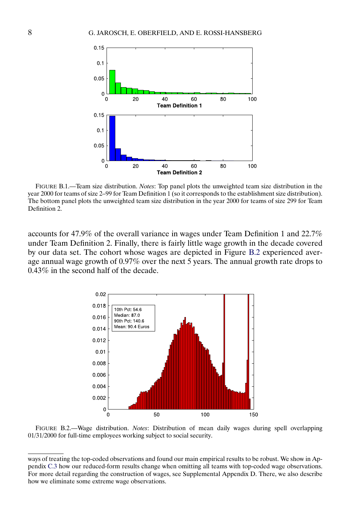<span id="page-7-0"></span>

FIGURE B.1.—Team size distribution. *Notes*: Top panel plots the unweighted team size distribution in the year 2000 for teams of size 2–99 for Team Definition 1 (so it corresponds to the establishment size distribution). The bottom panel plots the unweighted team size distribution in the year 2000 for teams of size 299 for Team Definition 2.

accounts for 47.9% of the overall variance in wages under Team Definition 1 and 22.7% under Team Definition 2. Finally, there is fairly little wage growth in the decade covered by our data set. The cohort whose wages are depicted in Figure B.2 experienced average annual wage growth of 0.97% over the next 5 years. The annual growth rate drops to 0.43% in the second half of the decade.



FIGURE B.2.—Wage distribution. *Notes*: Distribution of mean daily wages during spell overlapping 01/31/2000 for full-time employees working subject to social security.

ways of treating the top-coded observations and found our main empirical results to be robust. We show in Appendix [C.3](#page-10-0) how our reduced-form results change when omitting all teams with top-coded wage observations. For more detail regarding the construction of wages, see Supplemental Appendix D. There, we also describe how we eliminate some extreme wage observations.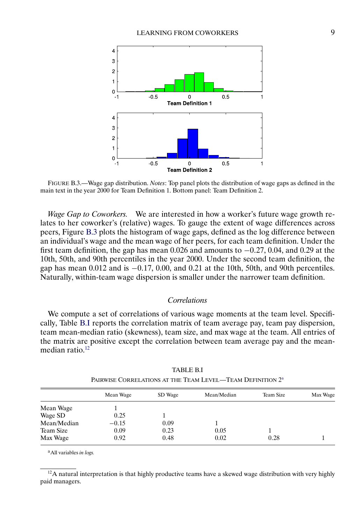

FIGURE B.3.—Wage gap distribution. *Notes*: Top panel plots the distribution of wage gaps as defined in the main text in the year 2000 for Team Definition 1. Bottom panel: Team Definition 2.

*Wage Gap to Coworkers.* We are interested in how a worker's future wage growth relates to her coworker's (relative) wages. To gauge the extent of wage differences across peers, Figure B.3 plots the histogram of wage gaps, defined as the log difference between an individual's wage and the mean wage of her peers, for each team definition. Under the first team definition, the gap has mean  $0.026$  and amounts to  $-0.27$ ,  $0.04$ , and  $0.29$  at the 10th, 50th, and 90th percentiles in the year 2000. Under the second team definition, the gap has mean  $0.012$  and is  $-0.17$ ,  $0.00$ , and  $0.21$  at the 10th, 50th, and 90th percentiles. Naturally, within-team wage dispersion is smaller under the narrower team definition.

# *Correlations*

We compute a set of correlations of various wage moments at the team level. Specifically, Table B.I reports the correlation matrix of team average pay, team pay dispersion, team mean-median ratio (skewness), team size, and max wage at the team. All entries of the matrix are positive except the correlation between team average pay and the meanmedian ratio.<sup>12</sup>

|                      | Mean Wage | SD Wage | Mean/Median | Team Size | Max Wage |
|----------------------|-----------|---------|-------------|-----------|----------|
|                      |           |         |             |           |          |
| Mean Wage<br>Wage SD | 0.25      |         |             |           |          |
| Mean/Median          | $-0.15$   | 0.09    |             |           |          |
| Team Size            | 0.09      | 0.23    | 0.05        |           |          |
| Max Wage             | 0.92      | 0.48    | 0.02        | 0.28      |          |

TABLE B.I PAIRWISE CORRELATIONS AT THE TEAM LEVEL—TEAM DEFINITION  $2^{\text{a}}$ 

aAll variables *in logs.*

 $12A$  natural interpretation is that highly productive teams have a skewed wage distribution with very highly paid managers.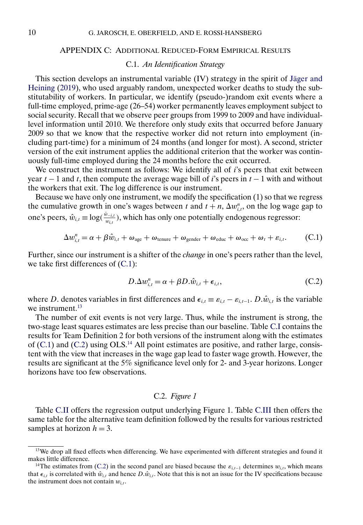### <span id="page-9-0"></span>APPENDIX C: ADDITIONAL REDUCED-FORM EMPIRICAL RESULTS

# C.1. *An Identification Strategy*

This section develops an instrumental variable (IV) strategy in the spirit of [Jäger and](#page-15-0) [Heining](#page-15-0) [\(2019\)](#page-15-0), who used arguably random, unexpected worker deaths to study the substitutability of workers. In particular, we identify (pseudo-)random exit events where a full-time employed, prime-age (26–54) worker permanently leaves employment subject to social security. Recall that we observe peer groups from 1999 to 2009 and have individuallevel information until 2010. We therefore only study exits that occurred before January 2009 so that we know that the respective worker did not return into employment (including part-time) for a minimum of 24 months (and longer for most). A second, stricter version of the exit instrument applies the additional criterion that the worker was continuously full-time employed during the 24 months before the exit occurred.

We construct the instrument as follows: We identify all of  $i$ 's peers that exit between year  $t - 1$  and t, then compute the average wage bill of i's peers in  $t - 1$  with and without the workers that exit. The log difference is our instrument.

Because we have only one instrument, we modify the specification (1) so that we regress the cumulative growth in one's wages between t and  $t + n$ ,  $\Delta w_{i,t}^n$ , on the log wage gap to one's peers,  $\hat{w}_{i,t} \equiv \log(\frac{\tilde{w}_{-i,t}}{w_{i,t}})$ , which has only one potentially endogenous regressor:

$$
\Delta w_{i,t}^n = \alpha + \beta \hat{w}_{i,t} + \omega_{\text{age}} + \omega_{\text{tenure}} + \omega_{\text{gender}} + \omega_{\text{educ}} + \omega_{\text{occ}} + \omega_t + \varepsilon_{i,t}.
$$
 (C.1)

Further, since our instrument is a shifter of the *change* in one's peers rather than the level, we take first differences of (C.1):

$$
D.\Delta w_{i,t}^n = \alpha + \beta D.\hat{w}_{i,t} + \epsilon_{i,t},\tag{C.2}
$$

where D. denotes variables in first differences and  $\epsilon_{i,t} \equiv \epsilon_{i,t} - \epsilon_{i,t-1}$ .  $D.\hat{w}_{i,t}$  is the variable we instrument.<sup>13</sup>

The number of exit events is not very large. Thus, while the instrument is strong, the two-stage least squares estimates are less precise than our baseline. Table [C.I](#page-10-0) contains the results for Team Definition 2 for both versions of the instrument along with the estimates of  $(C.1)$  and  $(C.2)$  using OLS.<sup>14</sup> All point estimates are positive, and rather large, consistent with the view that increases in the wage gap lead to faster wage growth. However, the results are significant at the 5% significance level only for 2- and 3-year horizons. Longer horizons have too few observations.

# C.2. *Figure 1*

Table [C.II](#page-11-0) offers the regression output underlying Figure 1. Table [C.III](#page-12-0) then offers the same table for the alternative team definition followed by the results for various restricted samples at horizon  $h = 3$ .

<sup>&</sup>lt;sup>13</sup>We drop all fixed effects when differencing. We have experimented with different strategies and found it makes little difference.

<sup>&</sup>lt;sup>14</sup>The estimates from (C.2) in the second panel are biased because the  $\varepsilon_{i,t-1}$  determines  $w_{i,t}$ , which means that  $\epsilon_{i,t}$  is correlated with  $\hat{w}_{i,t}$  and hence  $D.\hat{w}_{i,t}$ . Note that this is not an issue for the IV specifications because the instrument does not contain  $w_{i,t}$ .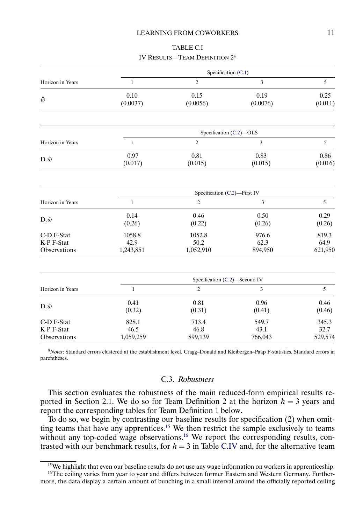### LEARNING FROM COWORKERS 11

TABLE C.I IV RESULTS—TEAM DEFINITION 2a

<span id="page-10-0"></span>

|                                          |                             | Specification (C.1)           |                          |                          |
|------------------------------------------|-----------------------------|-------------------------------|--------------------------|--------------------------|
| Horizon in Years                         | $\mathbf{1}$                | $\mathfrak{2}$                | 3                        | 5                        |
| $\hat{w}$                                | 0.10<br>(0.0037)            | 0.15<br>(0.0056)              | 0.19<br>(0.0076)         | 0.25<br>(0.011)          |
|                                          |                             |                               |                          |                          |
|                                          |                             | Specification (C.2)-OLS       |                          |                          |
| Horizon in Years                         | $\mathbf{1}$                | $\overline{c}$                | 3                        | 5                        |
| $D.\hat{w}$                              | 0.97<br>(0.017)             | 0.81<br>(0.015)               | 0.83<br>(0.015)          | 0.86<br>(0.016)          |
|                                          |                             | Specification (C.2)-First IV  |                          |                          |
| Horizon in Years                         | $\mathbf{1}$                | $\overline{c}$                | 3                        | 5                        |
| $D.\hat{w}$                              | 0.14<br>(0.26)              | 0.46<br>(0.22)                | 0.50<br>(0.26)           | 0.29<br>(0.26)           |
| C-D F-Stat<br>K-P F-Stat<br>Observations | 1058.8<br>42.9<br>1,243,851 | 1052.8<br>50.2<br>1,052,910   | 976.6<br>62.3<br>894,950 | 819.3<br>64.9<br>621,950 |
|                                          |                             | Specification (C.2)-Second IV |                          |                          |
| Horizon in Years                         | $1\,$                       | $\overline{c}$                | $\mathfrak{Z}$           | 5                        |
| $D.\hat{w}$                              | 0.41<br>(0.32)              | 0.81<br>(0.31)                | 0.96<br>(0.41)           | 0.46<br>(0.46)           |
| C-D F-Stat<br>K-P F-Stat<br>Observations | 828.1<br>46.5<br>1,059,259  | 713.4<br>46.8<br>899,139      | 549.7<br>43.1<br>766,043 | 345.3<br>32.7<br>529,574 |

<sup>a</sup>*Notes*: Standard errors clustered at the establishment level. Cragg–Donald and Kleibergen–Paap F-statistics. Standard errors in parentheses.

# C.3. *Robustness*

This section evaluates the robustness of the main reduced-form empirical results reported in Section 2.1. We do so for Team Definition 2 at the horizon  $h = 3$  years and report the corresponding tables for Team Definition 1 below.

To do so, we begin by contrasting our baseline results for specification (2) when omitting teams that have any apprentices.<sup>15</sup> We then restrict the sample exclusively to teams without any top-coded wage observations.<sup>16</sup> We report the corresponding results, contrasted with our benchmark results, for  $h = 3$  in Table [C.IV](#page-12-0) and, for the alternative team

<sup>&</sup>lt;sup>15</sup>We highlight that even our baseline results do not use any wage information on workers in apprenticeship.

<sup>&</sup>lt;sup>16</sup>The ceiling varies from year to year and differs between former Eastern and Western Germany. Furthermore, the data display a certain amount of bunching in a small interval around the officially reported ceiling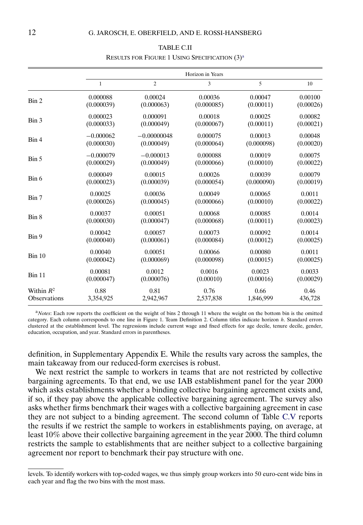<span id="page-11-0"></span>

|                     |              |                | Horizon in Years |            |           |
|---------------------|--------------|----------------|------------------|------------|-----------|
|                     | $\mathbf{1}$ | $\overline{c}$ | 3                | 5          | 10        |
| Bin 2               | 0.000088     | 0.00024        | 0.00036          | 0.00047    | 0.00100   |
|                     | (0.000039)   | (0.000063)     | (0.000085)       | (0.00011)  | (0.00026) |
| Bin 3               | 0.000023     | 0.000091       | 0.00018          | 0.00025    | 0.00082   |
|                     | (0.000033)   | (0.000049)     | (0.000067)       | (0.00011)  | (0.00021) |
| Bin 4               | $-0.000062$  | $-0.00000048$  | 0.000075         | 0.00013    | 0.00048   |
|                     | (0.000030)   | (0.000049)     | (0.000064)       | (0.000098) | (0.00020) |
| Bin 5               | $-0.000079$  | $-0.000013$    | 0.000088         | 0.00019    | 0.00075   |
|                     | (0.000029)   | (0.000049)     | (0.000066)       | (0.00010)  | (0.00022) |
| Bin 6               | 0.000049     | 0.00015        | 0.00026          | 0.00039    | 0.00079   |
|                     | (0.000023)   | (0.000039)     | (0.000054)       | (0.000090) | (0.00019) |
| Bin 7               | 0.00025      | 0.00036        | 0.00049          | 0.00065    | 0.0011    |
|                     | (0.000026)   | (0.000045)     | (0.000066)       | (0.00010)  | (0.00022) |
| Bin 8               | 0.00037      | 0.00051        | 0.00068          | 0.00085    | 0.0014    |
|                     | (0.000030)   | (0.000047)     | (0.000068)       | (0.00011)  | (0.00023) |
| Bin 9               | 0.00042      | 0.00057        | 0.00073          | 0.00092    | 0.0014    |
|                     | (0.000040)   | (0.000061)     | (0.000084)       | (0.00012)  | (0.00025) |
| Bin 10              | 0.00040      | 0.00051        | 0.00066          | 0.00080    | 0.0011    |
|                     | (0.000042)   | (0.000069)     | (0.000098)       | (0.00015)  | (0.00025) |
| Bin 11              | 0.00081      | 0.0012         | 0.0016           | 0.0023     | 0.0033    |
|                     | (0.000047)   | (0.000076)     | (0.00010)        | (0.00016)  | (0.00029) |
| Within $R^2$        | 0.88         | 0.81           | 0.76             | 0.66       | 0.46      |
| <b>Observations</b> | 3,354,925    | 2,942,967      | 2,537,838        | 1,846,999  | 436,728   |

# TABLE C.II RESULTS FOR FIGURE 1 USING SPECIFICATION (3)<sup>a</sup>

<sup>a</sup>*Notes*: Each row reports the coefficient on the weight of bins 2 through 11 where the weight on the bottom bin is the omitted category. Each column corresponds to one line in Figure 1. Team Definition 2. Column titles indicate horizon h. Standard errors clustered at the establishment level. The regressions include current wage and fixed effects for age decile, tenure decile, gender, education, occupation, and year. Standard errors in parentheses.

definition, in Supplementary Appendix E. While the results vary across the samples, the main takeaway from our reduced-form exercises is robust.

We next restrict the sample to workers in teams that are not restricted by collective bargaining agreements. To that end, we use IAB establishment panel for the year 2000 which asks establishments whether a binding collective bargaining agreement exists and, if so, if they pay above the applicable collective bargaining agreement. The survey also asks whether firms benchmark their wages with a collective bargaining agreement in case they are not subject to a binding agreement. The second column of Table [C.V](#page-13-0) reports the results if we restrict the sample to workers in establishments paying, on average, at least 10% above their collective bargaining agreement in the year 2000. The third column restricts the sample to establishments that are neither subject to a collective bargaining agreement nor report to benchmark their pay structure with one.

levels. To identify workers with top-coded wages, we thus simply group workers into 50 euro-cent wide bins in each year and flag the two bins with the most mass.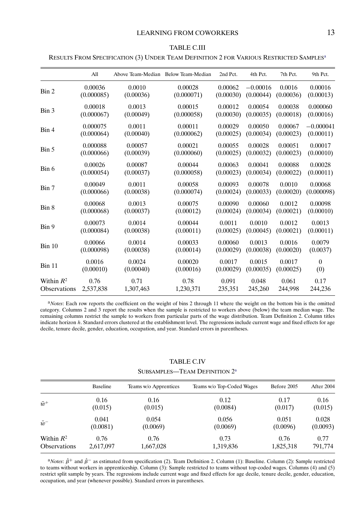#### TABLE C.III

<span id="page-12-0"></span>RESULTS FROM SPECIFICATION (3) UNDER TEAM DEFINITION 2 FOR VARIOUS RESTRICTED SAMPLESa

|                        | All        |           | Above Team-Median Below Team-Median | 2nd Pct.  | 4th Pct.   | 7th Pct.  | 9th Pct.    |
|------------------------|------------|-----------|-------------------------------------|-----------|------------|-----------|-------------|
| $\operatorname{Bin} 2$ | 0.00036    | 0.0010    | 0.00028                             | 0.00062   | $-0.00016$ | 0.0016    | 0.00016     |
|                        | (0.000085) | (0.00036) | (0.000071)                          | (0.00030) | (0.00044)  | (0.00036) | (0.00013)   |
| Bin 3                  | 0.00018    | 0.0013    | 0.00015                             | 0.00012   | 0.00054    | 0.00038   | 0.000060    |
|                        | (0.000067) | (0.00049) | (0.000058)                          | (0.00030) | (0.00035)  | (0.00018) | (0.00016)   |
| Bin 4                  | 0.000075   | 0.0011    | 0.00011                             | 0.00029   | 0.00050    | 0.00067   | $-0.000041$ |
|                        | (0.000064) | (0.00040) | (0.000062)                          | (0.00025) | (0.00034)  | (0.00023) | (0.00011)   |
| Bin 5                  | 0.000088   | 0.00057   | 0.00021                             | 0.00055   | 0.00028    | 0.00051   | 0.00017     |
|                        | (0.000066) | (0.00039) | (0.000060)                          | (0.00025) | (0.00032)  | (0.00023) | (0.00010)   |
| Bin 6                  | 0.00026    | 0.00087   | 0.00044                             | 0.00063   | 0.00041    | 0.00088   | 0.00028     |
|                        | (0.000054) | (0.00037) | (0.000058)                          | (0.00023) | (0.00034)  | (0.00022) | (0.00011)   |
| Bin 7                  | 0.00049    | 0.0011    | 0.00058                             | 0.00093   | 0.00078    | 0.0010    | 0.00068     |
|                        | (0.000066) | (0.00038) | (0.000074)                          | (0.00024) | (0.00033)  | (0.00020) | (0.000098)  |
| Bin 8                  | 0.00068    | 0.0013    | 0.00075                             | 0.00090   | 0.00060    | 0.0012    | 0.00098     |
|                        | (0.000068) | (0.00037) | (0.00012)                           | (0.00024) | (0.00034)  | (0.00021) | (0.00010)   |
| Bin 9                  | 0.00073    | 0.0014    | 0.00044                             | 0.0011    | 0.0010     | 0.0012    | 0.0013      |
|                        | (0.000084) | (0.00038) | (0.00011)                           | (0.00025) | (0.00045)  | (0.00021) | (0.00011)   |
| Bin 10                 | 0.00066    | 0.0014    | 0.00033                             | 0.00060   | 0.0013     | 0.0016    | 0.0079      |
|                        | (0.000098) | (0.00038) | (0.00014)                           | (0.00029) | (0.00038)  | (0.00020) | (0.0037)    |
| <b>Bin 11</b>          | 0.0016     | 0.0024    | 0.00020                             | 0.0017    | 0.0015     | 0.0017    | $\theta$    |
|                        | (0.00010)  | (0.00040) | (0.00016)                           | (0.00029) | (0.00035)  | (0.00025) | (0)         |
| Within $R^2$           | 0.76       | 0.71      | 0.78                                | 0.091     | 0.048      | 0.061     | 0.17        |
| Observations           | 2,537,838  | 1,307,463 | 1,230,371                           | 235,351   | 245,260    | 244,998   | 244,236     |

<sup>a</sup>*Notes*: Each row reports the coefficient on the weight of bins 2 through 11 where the weight on the bottom bin is the omitted category. Columns 2 and 3 report the results when the sample is restricted to workers above (below) the team median wage. The remaining columns restrict the sample to workers from particular parts of the wage distribution. Team Definition 2. Column titles indicate horizon h. Standard errors clustered at the establishment level. The regressions include current wage and fixed effects for age decile, tenure decile, gender, education, occupation, and year. Standard errors in parentheses.

# TABLE C.IV

SUBSAMPLES-TEAM DEFINITION  $2^a$ 

|                     | <b>Baseline</b> | Teams w/o Apprentices | Teams w/o Top-Coded Wages | Before 2005 | After 2004 |
|---------------------|-----------------|-----------------------|---------------------------|-------------|------------|
| $\bar{w}^+$         | 0.16            | 0.16                  | 0.12                      | 0.17        | 0.16       |
|                     | (0.015)         | (0.015)               | (0.0084)                  | (0.017)     | (0.015)    |
| $\bar{w}^-$         | 0.041           | 0.054                 | 0.056                     | 0.051       | 0.028      |
|                     | (0.0081)        | (0.0069)              | (0.0069)                  | (0.0096)    | (0.0093)   |
| Within $R^2$        | 0.76            | 0.76                  | 0.73                      | 0.76        | 0.77       |
| <b>Observations</b> | 2,617,097       | 1,667,028             | 1,319,836                 | 1,825,318   | 791,774    |

 $a<sup>4</sup>Notes:  $\hat{\beta}^+$  and  $\hat{\beta}^-$  as estimated from specification (2). Team Definition 2. Column (1): Baseline. Column (2): Sample restricted$ to teams without workers in apprenticeship. Column (3): Sample restricted to teams without top-coded wages. Columns (4) and (5) restrict split sample by years. The regressions include current wage and fixed effects for age decile, tenure decile, gender, education, occupation, and year (whenever possible). Standard errors in parentheses.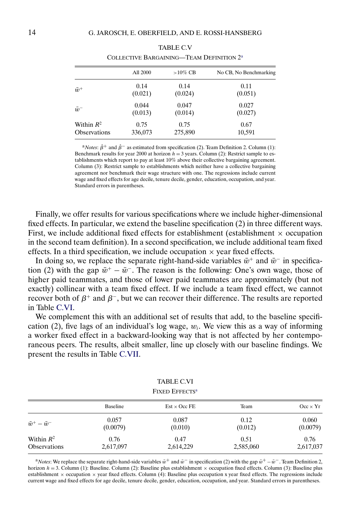<span id="page-13-0"></span>

|              | All 2000 | $>10\%$ CB | No CB, No Benchmarking |  |
|--------------|----------|------------|------------------------|--|
| $\bar{w}^+$  | 0.14     | 0.14       | 0.11                   |  |
|              | (0.021)  | (0.024)    | (0.051)                |  |
| $\bar{w}^-$  | 0.044    | 0.047      | 0.027                  |  |
|              | (0.013)  | (0.014)    | (0.027)                |  |
| Within $R^2$ | 0.75     | 0.75       | 0.67                   |  |
| Observations | 336,073  | 275,890    | 10,591                 |  |

| <b>TABLE C.V</b>                                     |  |
|------------------------------------------------------|--|
| COLLECTIVE BARGAINING—TEAM DEFINITION 2 <sup>a</sup> |  |

<sup>a</sup>*Notes*:  $\hat{\beta}$ <sup>+</sup> and  $\hat{\beta}$ <sup>−</sup> as estimated from specification (2). Team Definition 2. Column (1): Benchmark results for year 2000 at horizon  $h = 3$  years. Column (2): Restrict sample to establishments which report to pay at least 10% above their collective bargaining agreement. Column (3): Restrict sample to establishments which neither have a collective bargaining agreement nor benchmark their wage structure with one. The regressions include current wage and fixed effects for age decile, tenure decile, gender, education, occupation, and year. Standard errors in parentheses.

Finally, we offer results for various specifications where we include higher-dimensional fixed effects. In particular, we extend the baseline specification (2) in three different ways. First, we include additional fixed effects for establishment (establishment  $\times$  occupation in the second team definition). In a second specification, we include additional team fixed effects. In a third specification, we include occupation  $\times$  year fixed effects.

In doing so, we replace the separate right-hand-side variables  $\bar{w}^+$  and  $\bar{w}^-$  in specification (2) with the gap  $\bar{w}^+ - \bar{w}^-$ . The reason is the following: One's own wage, those of higher paid teammates, and those of lower paid teammates are approximately (but not exactly) collinear with a team fixed effect. If we include a team fixed effect, we cannot recover both of  $\beta^+$  and  $\beta^-$ , but we can recover their difference. The results are reported in Table C.VI.

We complement this with an additional set of results that add, to the baseline specification (2), five lags of an individual's log wage,  $w_i$ . We view this as a way of informing a worker fixed effect in a backward-looking way that is not affected by her contemporaneous peers. The results, albeit smaller, line up closely with our baseline findings. We present the results in Table [C.VII.](#page-14-0)

| <b>TABLE C.VI</b><br><b>FIXED EFFECTS<sup>a</sup></b> |           |                     |           |                 |  |
|-------------------------------------------------------|-----------|---------------------|-----------|-----------------|--|
|                                                       | Baseline  | $Est \times Occ$ FE | Team      | $Occ \times Yr$ |  |
| $\bar w^+ - \bar w^-$                                 | 0.057     | 0.087               | 0.12      | 0.060           |  |
|                                                       | (0.0079)  | (0.010)             | (0.012)   | (0.0079)        |  |
| Within $R^2$                                          | 0.76      | 0.47                | 0.51      | 0.76            |  |
| <b>Observations</b>                                   | 2,617,097 | 2,614,229           | 2,585,060 | 2,617,037       |  |

<sup>a</sup>*Notes*: We replace the separate right-hand-side variables  $\bar{w}^+$  and  $\bar{w}^-$  in specification (2) with the gap  $\bar{w}^+$  –  $\bar{w}^-$ . Team Definition 2, horizon  $h = 3$ . Column (1): Baseline. Column (2): Baseline plus establishment  $\times$  occupation fixed effects. Column (3): Baseline plus establishment  $\times$  occupation  $\times$  year fixed effects. Column (4): Baseline plus occupation x year fixed effects. The regressions include current wage and fixed effects for age decile, tenure decile, gender, education, occupation, and year. Standard errors in parentheses.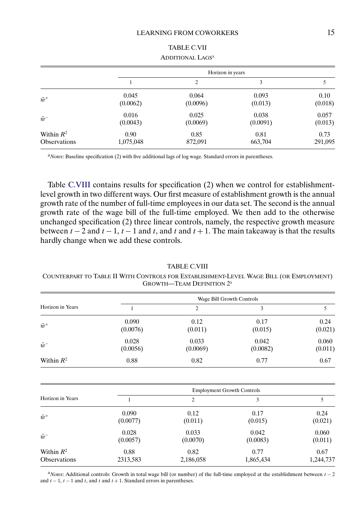<span id="page-14-0"></span>

|                     | Horizon in years |          |          |         |
|---------------------|------------------|----------|----------|---------|
|                     |                  | 2        | 3        |         |
| $\bar{w}^+$         | 0.045            | 0.064    | 0.093    | 0.10    |
|                     | (0.0062)         | (0.0096) | (0.013)  | (0.018) |
| $\bar{w}^-$         | 0.016            | 0.025    | 0.038    | 0.057   |
|                     | (0.0043)         | (0.0069) | (0.0091) | (0.013) |
| Within $R^2$        | 0.90             | 0.85     | 0.81     | 0.73    |
| <b>Observations</b> | 1,075,048        | 872,091  | 663,704  | 291,095 |

TABLE C.VII ADDITIONAL LAGS<sup>a</sup>

<sup>a</sup>*Notes*: Baseline specification (2) with five additional lags of log wage. Standard errors in parentheses.

Table C.VIII contains results for specification (2) when we control for establishmentlevel growth in two different ways. Our first measure of establishment growth is the annual growth rate of the number of full-time employees in our data set. The second is the annual growth rate of the wage bill of the full-time employed. We then add to the otherwise unchanged specification (2) three linear controls, namely, the respective growth measure between  $t - 2$  and  $t - 1$ ,  $t - 1$  and  $t$ , and  $t$  and  $t + 1$ . The main takeaway is that the results hardly change when we add these controls.

## TABLE C.VIII

COUNTERPART TO TABLE II WITH CONTROLS FOR ESTABLISHMENT-LEVEL WAGE BILL (OR EMPLOYMENT) GROWTH—TEAM DEFINITION 2a

|                  | Wage Bill Growth Controls |                   |                   |                  |  |
|------------------|---------------------------|-------------------|-------------------|------------------|--|
| Horizon in Years |                           | 2                 | 3                 |                  |  |
| $\bar{w}^+$      | 0.090<br>(0.0076)         | 0.12<br>(0.011)   | 0.17<br>(0.015)   | 0.24<br>(0.021)  |  |
| $\bar{w}^-$      | 0.028<br>(0.0056)         | 0.033<br>(0.0069) | 0.042<br>(0.0082) | 0.060<br>(0.011) |  |
| Within $R^2$     | 0.88                      | 0.82              | 0.77              | 0.67             |  |

|                        | <b>Employment Growth Controls</b> |           |           |           |  |
|------------------------|-----------------------------------|-----------|-----------|-----------|--|
| Horizon in Years       |                                   | 2         | 3         |           |  |
| $\bar{w}^+$            | 0.090                             | 0.12      | 0.17      | 0.24      |  |
|                        | (0.0077)                          | (0.011)   | (0.015)   | (0.021)   |  |
| $\bar{w}$ <sup>-</sup> | 0.028                             | 0.033     | 0.042     | 0.060     |  |
|                        | (0.0057)                          | (0.0070)  | (0.0083)  | (0.011)   |  |
| Within $R^2$           | 0.88                              | 0.82      | 0.77      | 0.67      |  |
| <b>Observations</b>    | 2313,583                          | 2,186,058 | 1,865,434 | 1,244,737 |  |

<sup>a</sup>*Notes*: Additional controls: Growth in total wage bill (or number) of the full-time employed at the establishment between t − 2 and  $t - 1$ ,  $t - 1$  and  $t$ , and  $t$  and  $t + 1$ . Standard errors in parentheses.